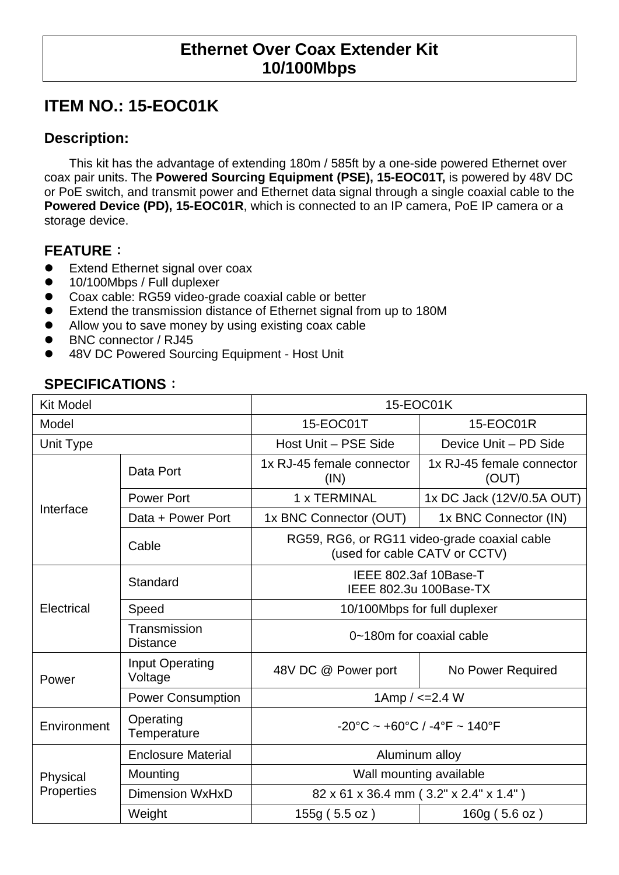## **Ethernet Over Coax Extender Kit 10/100Mbps**

# **ITEM NO.: 15-EOC01K**

#### **Description:**

This kit has the advantage of extending 180m / 585ft by a one-side powered Ethernet over coax pair units. The **Powered Sourcing Equipment (PSE), 15-EOC01T,** is powered by 48V DC or PoE switch, and transmit power and Ethernet data signal through a single coaxial cable to the **Powered Device (PD), 15-EOC01R**, which is connected to an IP camera, PoE IP camera or a storage device.

#### **FEATURE**:

- Extend Ethernet signal over coax
- 10/100Mbps / Full duplexer
- Coax cable: RG59 video-grade coaxial cable or better
- Extend the transmission distance of Ethernet signal from up to 180M
- Allow you to save money by using existing coax cable
- BNC connector / RJ45
- 48V DC Powered Sourcing Equipment Host Unit

### **SPECIFICATIONS**:

| <b>Kit Model</b>       |                                   | 15-EOC01K                                                                     |                                    |  |
|------------------------|-----------------------------------|-------------------------------------------------------------------------------|------------------------------------|--|
| Model                  |                                   | 15-EOC01T                                                                     | 15-EOC01R                          |  |
| Unit Type              |                                   | Host Unit - PSE Side                                                          | Device Unit - PD Side              |  |
| Interface              | Data Port                         | 1x RJ-45 female connector<br>(IN)                                             | 1x RJ-45 female connector<br>(OUT) |  |
|                        | <b>Power Port</b>                 | 1 x TERMINAL                                                                  | 1x DC Jack (12V/0.5A OUT)          |  |
|                        | Data + Power Port                 | 1x BNC Connector (OUT)                                                        | 1x BNC Connector (IN)              |  |
|                        | Cable                             | RG59, RG6, or RG11 video-grade coaxial cable<br>(used for cable CATV or CCTV) |                                    |  |
| Electrical             | Standard                          | IEEE 802.3af 10Base-T<br>IEEE 802.3u 100Base-TX                               |                                    |  |
|                        | Speed                             | 10/100Mbps for full duplexer                                                  |                                    |  |
|                        | Transmission<br><b>Distance</b>   | 0~180m for coaxial cable                                                      |                                    |  |
| Power                  | <b>Input Operating</b><br>Voltage | 48V DC @ Power port                                                           | No Power Required                  |  |
|                        | <b>Power Consumption</b>          | 1Amp $/ < = 2.4 W$                                                            |                                    |  |
| Environment            | Operating<br>Temperature          | $-20^{\circ}$ C ~ +60 $^{\circ}$ C / -4 $^{\circ}$ F ~ 140 $^{\circ}$ F       |                                    |  |
| Physical<br>Properties | <b>Enclosure Material</b>         | Aluminum alloy                                                                |                                    |  |
|                        | Mounting                          | Wall mounting available                                                       |                                    |  |
|                        | <b>Dimension WxHxD</b>            | 82 x 61 x 36.4 mm (3.2" x 2.4" x 1.4")                                        |                                    |  |
|                        | Weight                            | 155g (5.5 oz)                                                                 | 160g(5.6 oz)                       |  |